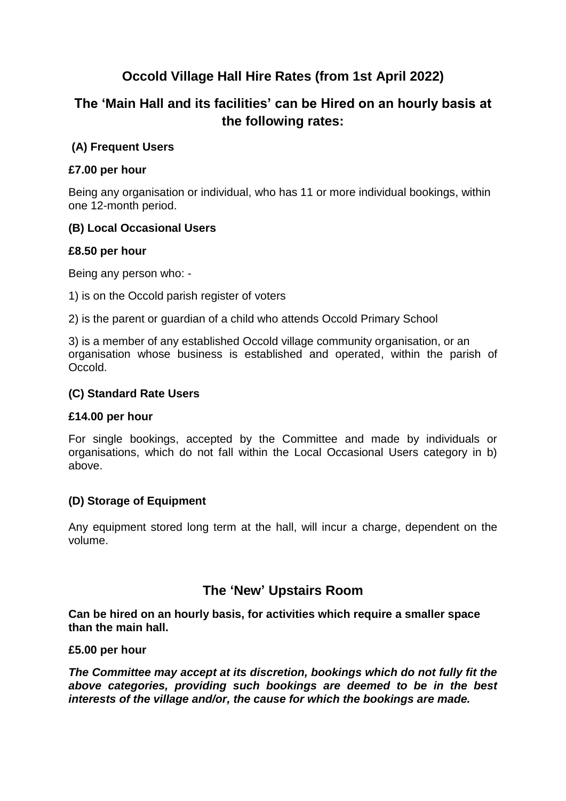# **Occold Village Hall Hire Rates (from 1st April 2022)**

# **The 'Main Hall and its facilities' can be Hired on an hourly basis at the following rates:**

# **(A) Frequent Users**

# **£7.00 per hour**

Being any organisation or individual, who has 11 or more individual bookings, within one 12-month period.

### **(B) Local Occasional Users**

### **£8.50 per hour**

Being any person who: -

1) is on the Occold parish register of voters

2) is the parent or guardian of a child who attends Occold Primary School

3) is a member of any established Occold village community organisation, or an organisation whose business is established and operated, within the parish of Occold.

#### **(C) Standard Rate Users**

#### **£14.00 per hour**

For single bookings, accepted by the Committee and made by individuals or organisations, which do not fall within the Local Occasional Users category in b) above.

#### **(D) Storage of Equipment**

Any equipment stored long term at the hall, will incur a charge, dependent on the volume.

# **The 'New' Upstairs Room**

**Can be hired on an hourly basis, for activities which require a smaller space than the main hall.**

#### **£5.00 per hour**

*The Committee may accept at its discretion, bookings which do not fully fit the above categories, providing such bookings are deemed to be in the best interests of the village and/or, the cause for which the bookings are made.*